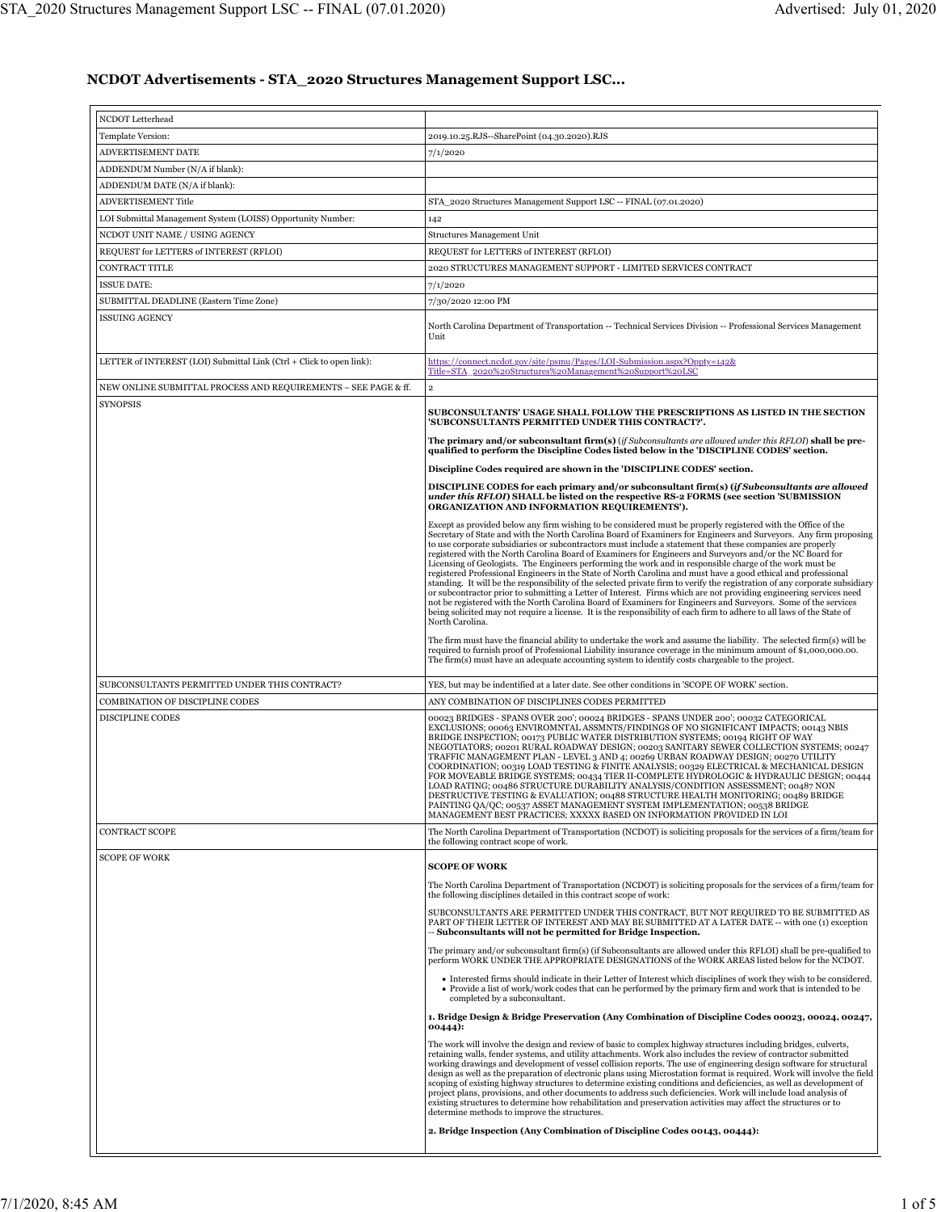## **NCDOT Advertisements - STA\_2020 Structures Management Support LSC...**

| NCDOT Letterhead                                                     |                                                                                                                                                                                                                                                                                                                                                                                                                                                                                                                                                                                                                                                                                                                                                                                                                                                                                                                                                                                                                                                                                                                                                                                              |
|----------------------------------------------------------------------|----------------------------------------------------------------------------------------------------------------------------------------------------------------------------------------------------------------------------------------------------------------------------------------------------------------------------------------------------------------------------------------------------------------------------------------------------------------------------------------------------------------------------------------------------------------------------------------------------------------------------------------------------------------------------------------------------------------------------------------------------------------------------------------------------------------------------------------------------------------------------------------------------------------------------------------------------------------------------------------------------------------------------------------------------------------------------------------------------------------------------------------------------------------------------------------------|
| Template Version:                                                    | 2019.10.25.RJS--SharePoint (04.30.2020).RJS                                                                                                                                                                                                                                                                                                                                                                                                                                                                                                                                                                                                                                                                                                                                                                                                                                                                                                                                                                                                                                                                                                                                                  |
| ADVERTISEMENT DATE                                                   | 7/1/2020                                                                                                                                                                                                                                                                                                                                                                                                                                                                                                                                                                                                                                                                                                                                                                                                                                                                                                                                                                                                                                                                                                                                                                                     |
| ADDENDUM Number (N/A if blank):                                      |                                                                                                                                                                                                                                                                                                                                                                                                                                                                                                                                                                                                                                                                                                                                                                                                                                                                                                                                                                                                                                                                                                                                                                                              |
| ADDENDUM DATE (N/A if blank):                                        |                                                                                                                                                                                                                                                                                                                                                                                                                                                                                                                                                                                                                                                                                                                                                                                                                                                                                                                                                                                                                                                                                                                                                                                              |
| <b>ADVERTISEMENT Title</b>                                           | STA 2020 Structures Management Support LSC -- FINAL (07.01.2020)                                                                                                                                                                                                                                                                                                                                                                                                                                                                                                                                                                                                                                                                                                                                                                                                                                                                                                                                                                                                                                                                                                                             |
| LOI Submittal Management System (LOISS) Opportunity Number:          | 142                                                                                                                                                                                                                                                                                                                                                                                                                                                                                                                                                                                                                                                                                                                                                                                                                                                                                                                                                                                                                                                                                                                                                                                          |
| NCDOT UNIT NAME / USING AGENCY                                       | Structures Management Unit                                                                                                                                                                                                                                                                                                                                                                                                                                                                                                                                                                                                                                                                                                                                                                                                                                                                                                                                                                                                                                                                                                                                                                   |
| REQUEST for LETTERS of INTEREST (RFLOI)                              | REQUEST for LETTERS of INTEREST (RFLOI)                                                                                                                                                                                                                                                                                                                                                                                                                                                                                                                                                                                                                                                                                                                                                                                                                                                                                                                                                                                                                                                                                                                                                      |
| CONTRACT TITLE                                                       | 2020 STRUCTURES MANAGEMENT SUPPORT - LIMITED SERVICES CONTRACT                                                                                                                                                                                                                                                                                                                                                                                                                                                                                                                                                                                                                                                                                                                                                                                                                                                                                                                                                                                                                                                                                                                               |
| ISSUE DATE:                                                          | 7/1/2020                                                                                                                                                                                                                                                                                                                                                                                                                                                                                                                                                                                                                                                                                                                                                                                                                                                                                                                                                                                                                                                                                                                                                                                     |
| SUBMITTAL DEADLINE (Eastern Time Zone)                               | 7/30/2020 12:00 PM                                                                                                                                                                                                                                                                                                                                                                                                                                                                                                                                                                                                                                                                                                                                                                                                                                                                                                                                                                                                                                                                                                                                                                           |
| <b>ISSUING AGENCY</b>                                                |                                                                                                                                                                                                                                                                                                                                                                                                                                                                                                                                                                                                                                                                                                                                                                                                                                                                                                                                                                                                                                                                                                                                                                                              |
|                                                                      | North Carolina Department of Transportation -- Technical Services Division -- Professional Services Management<br>Unit                                                                                                                                                                                                                                                                                                                                                                                                                                                                                                                                                                                                                                                                                                                                                                                                                                                                                                                                                                                                                                                                       |
| LETTER of INTEREST (LOI) Submittal Link (Ctrl + Click to open link): | https://connect.ncdot.gov/site/psmu/Pages/LOI-Submission.aspx?Oppty=142&<br>Title=STA_2020%20Structures%20Management%20Support%20LSC                                                                                                                                                                                                                                                                                                                                                                                                                                                                                                                                                                                                                                                                                                                                                                                                                                                                                                                                                                                                                                                         |
| NEW ONLINE SUBMITTAL PROCESS AND REQUIREMENTS – SEE PAGE & ff.       | $\,2\,$                                                                                                                                                                                                                                                                                                                                                                                                                                                                                                                                                                                                                                                                                                                                                                                                                                                                                                                                                                                                                                                                                                                                                                                      |
| <b>SYNOPSIS</b>                                                      | SUBCONSULTANTS' USAGE SHALL FOLLOW THE PRESCRIPTIONS AS LISTED IN THE SECTION<br>'SUBCONSULTANTS PERMITTED UNDER THIS CONTRACT?'.                                                                                                                                                                                                                                                                                                                                                                                                                                                                                                                                                                                                                                                                                                                                                                                                                                                                                                                                                                                                                                                            |
|                                                                      | The primary and/or subconsultant firm(s) (if Subconsultants are allowed under this RFLOI) shall be pre-<br>qualified to perform the Discipline Codes listed below in the 'DISCIPLINE CODES' section.                                                                                                                                                                                                                                                                                                                                                                                                                                                                                                                                                                                                                                                                                                                                                                                                                                                                                                                                                                                         |
|                                                                      | Discipline Codes required are shown in the 'DISCIPLINE CODES' section.                                                                                                                                                                                                                                                                                                                                                                                                                                                                                                                                                                                                                                                                                                                                                                                                                                                                                                                                                                                                                                                                                                                       |
|                                                                      | DISCIPLINE CODES for each primary and/or subconsultant firm(s) (if Subconsultants are allowed<br>under this RFLOI) SHALL be listed on the respective RS-2 FORMS (see section 'SUBMISSION<br>ORGANIZATION AND INFORMATION REQUIREMENTS').                                                                                                                                                                                                                                                                                                                                                                                                                                                                                                                                                                                                                                                                                                                                                                                                                                                                                                                                                     |
|                                                                      | Except as provided below any firm wishing to be considered must be properly registered with the Office of the<br>Secretary of State and with the North Carolina Board of Examiners for Engineers and Surveyors. Any firm proposing<br>to use corporate subsidiaries or subcontractors must include a statement that these companies are properly<br>registered with the North Carolina Board of Examiners for Engineers and Surveyors and/or the NC Board for<br>Licensing of Geologists. The Engineers performing the work and in responsible charge of the work must be<br>registered Professional Engineers in the State of North Carolina and must have a good ethical and professional<br>standing. It will be the responsibility of the selected private firm to verify the registration of any corporate subsidiary<br>or subcontractor prior to submitting a Letter of Interest. Firms which are not providing engineering services need<br>not be registered with the North Carolina Board of Examiners for Engineers and Surveyors. Some of the services<br>being solicited may not require a license. It is the responsibility of each firm to adhere to all laws of the State of |
|                                                                      | North Carolina.<br>The firm must have the financial ability to undertake the work and assume the liability. The selected firm(s) will be<br>required to furnish proof of Professional Liability insurance coverage in the minimum amount of \$1,000,000.00.<br>The firm(s) must have an adequate accounting system to identify costs chargeable to the project.                                                                                                                                                                                                                                                                                                                                                                                                                                                                                                                                                                                                                                                                                                                                                                                                                              |
| SUBCONSULTANTS PERMITTED UNDER THIS CONTRACT?                        | YES, but may be indentified at a later date. See other conditions in 'SCOPE OF WORK' section.                                                                                                                                                                                                                                                                                                                                                                                                                                                                                                                                                                                                                                                                                                                                                                                                                                                                                                                                                                                                                                                                                                |
| COMBINATION OF DISCIPLINE CODES                                      | ANY COMBINATION OF DISCIPLINES CODES PERMITTED                                                                                                                                                                                                                                                                                                                                                                                                                                                                                                                                                                                                                                                                                                                                                                                                                                                                                                                                                                                                                                                                                                                                               |
| <b>DISCIPLINE CODES</b>                                              | 00023 BRIDGES - SPANS OVER 200'; 00024 BRIDGES - SPANS UNDER 200'; 00032 CATEGORICAL<br>EXCLUSIONS; 00063 ENVIROMNTAL ASSMNTS/FINDINGS OF NO SIGNIFICANT IMPACTS; 00143 NBIS<br>BRIDGE INSPECTION; 00173 PUBLIC WATER DISTRIBUTION SYSTEMS; 00194 RIGHT OF WAY<br>NEGOTIATORS; 00201 RURAL ROADWAY DESIGN; 00203 SANITARY SEWER COLLECTION SYSTEMS; 00247<br>TRAFFIC MANAGEMENT PLAN - LEVEL 3 AND 4; 00269 URBAN ROADWAY DESIGN; 00270 UTILITY<br>COORDINATION; 00319 LOAD TESTING & FINITE ANALYSIS; 00329 ELECTRICAL & MECHANICAL DESIGN<br>FOR MOVEABLE BRIDGE SYSTEMS; 00434 TIER II-COMPLETE HYDROLOGIC & HYDRAULIC DESIGN; 00444<br>LOAD RATING; 00486 STRUCTURE DURABILITY ANALYSIS/CONDITION ASSESSMENT; 00487 NON<br>DESTRUCTIVE TESTING & EVALUATION; 00488 STRUCTURE HEALTH MONITORING; 00489 BRIDGE<br>PAINTING QA/QC; 00537 ASSET MANAGEMENT SYSTEM IMPLEMENTATION; 00538 BRIDGE<br>MANAGEMENT BEST PRACTICES; XXXXX BASED ON INFORMATION PROVIDED IN LOI                                                                                                                                                                                                                      |
| <b>CONTRACT SCOPE</b><br><b>SCOPE OF WORK</b>                        | The North Carolina Department of Transportation (NCDOT) is soliciting proposals for the services of a firm/team for<br>the following contract scope of work.                                                                                                                                                                                                                                                                                                                                                                                                                                                                                                                                                                                                                                                                                                                                                                                                                                                                                                                                                                                                                                 |
|                                                                      | <b>SCOPE OF WORK</b>                                                                                                                                                                                                                                                                                                                                                                                                                                                                                                                                                                                                                                                                                                                                                                                                                                                                                                                                                                                                                                                                                                                                                                         |
|                                                                      | The North Carolina Department of Transportation (NCDOT) is soliciting proposals for the services of a firm/team for<br>the following disciplines detailed in this contract scope of work:                                                                                                                                                                                                                                                                                                                                                                                                                                                                                                                                                                                                                                                                                                                                                                                                                                                                                                                                                                                                    |
|                                                                      | SUBCONSULTANTS ARE PERMITTED UNDER THIS CONTRACT, BUT NOT REQUIRED TO BE SUBMITTED AS<br>PART OF THEIR LETTER OF INTEREST AND MAY BE SUBMITTED AT A LATER DATE -- with one (1) exception<br>-- Subconsultants will not be permitted for Bridge Inspection.                                                                                                                                                                                                                                                                                                                                                                                                                                                                                                                                                                                                                                                                                                                                                                                                                                                                                                                                   |
|                                                                      | The primary and/or subconsultant firm(s) (if Subconsultants are allowed under this RFLOI) shall be pre-qualified to<br>perform WORK UNDER THE APPROPRIATE DESIGNATIONS of the WORK AREAS listed below for the NCDOT.                                                                                                                                                                                                                                                                                                                                                                                                                                                                                                                                                                                                                                                                                                                                                                                                                                                                                                                                                                         |
|                                                                      | • Interested firms should indicate in their Letter of Interest which disciplines of work they wish to be considered.<br>• Provide a list of work/work codes that can be performed by the primary firm and work that is intended to be<br>completed by a subconsultant.                                                                                                                                                                                                                                                                                                                                                                                                                                                                                                                                                                                                                                                                                                                                                                                                                                                                                                                       |
|                                                                      | 1. Bridge Design & Bridge Preservation (Any Combination of Discipline Codes 00023, 00024, 00247,<br>00444):                                                                                                                                                                                                                                                                                                                                                                                                                                                                                                                                                                                                                                                                                                                                                                                                                                                                                                                                                                                                                                                                                  |
|                                                                      | The work will involve the design and review of basic to complex highway structures including bridges, culverts,<br>retaining walls, fender systems, and utility attachments. Work also includes the review of contractor submitted<br>working drawings and development of vessel collision reports. The use of engineering design software for structural<br>design as well as the preparation of electronic plans using Microstation format is required. Work will involve the field<br>scoping of existing highway structures to determine existing conditions and deficiencies, as well as development of<br>project plans, provisions, and other documents to address such deficiencies. Work will include load analysis of<br>existing structures to determine how rehabilitation and preservation activities may affect the structures or to<br>determine methods to improve the structures.                                                                                                                                                                                                                                                                                           |
|                                                                      | 2. Bridge Inspection (Any Combination of Discipline Codes 00143, 00444):                                                                                                                                                                                                                                                                                                                                                                                                                                                                                                                                                                                                                                                                                                                                                                                                                                                                                                                                                                                                                                                                                                                     |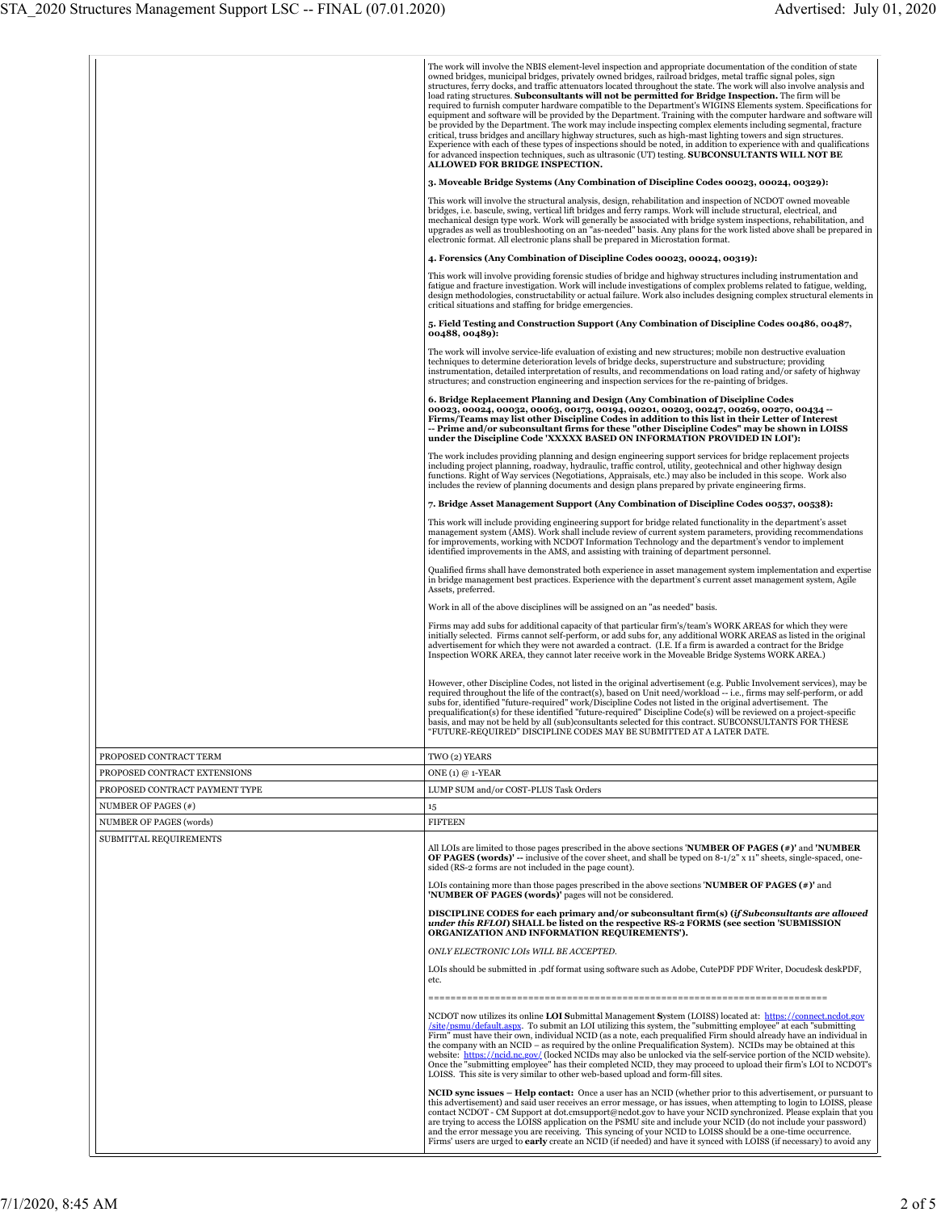|                                                          | The work will involve the NBIS element-level inspection and appropriate documentation of the condition of state<br>owned bridges, municipal bridges, privately owned bridges, railroad bridges, metal traffic signal poles, sign<br>structures, ferry docks, and traffic attenuators located throughout the state. The work will also involve analysis and<br>load rating structures. Subconsultants will not be permitted for Bridge Inspection. The firm will be<br>required to furnish computer hardware compatible to the Department's WIGINS Elements system. Specifications for<br>equipment and software will be provided by the Department. Training with the computer hardware and software will<br>be provided by the Department. The work may include inspecting complex elements including segmental, fracture<br>critical, truss bridges and ancillary highway structures, such as high-mast lighting towers and sign structures.<br>Experience with each of these types of inspections should be noted, in addition to experience with and qualifications<br>for advanced inspection techniques, such as ultrasonic (UT) testing. SUBCONSULTANTS WILL NOT BE<br><b>ALLOWED FOR BRIDGE INSPECTION.</b> |
|----------------------------------------------------------|---------------------------------------------------------------------------------------------------------------------------------------------------------------------------------------------------------------------------------------------------------------------------------------------------------------------------------------------------------------------------------------------------------------------------------------------------------------------------------------------------------------------------------------------------------------------------------------------------------------------------------------------------------------------------------------------------------------------------------------------------------------------------------------------------------------------------------------------------------------------------------------------------------------------------------------------------------------------------------------------------------------------------------------------------------------------------------------------------------------------------------------------------------------------------------------------------------------------|
|                                                          | 3. Moveable Bridge Systems (Any Combination of Discipline Codes 00023, 00024, 00329):                                                                                                                                                                                                                                                                                                                                                                                                                                                                                                                                                                                                                                                                                                                                                                                                                                                                                                                                                                                                                                                                                                                               |
|                                                          | This work will involve the structural analysis, design, rehabilitation and inspection of NCDOT owned moveable<br>bridges, i.e. bascule, swing, vertical lift bridges and ferry ramps. Work will include structural, electrical, and<br>mechanical design type work. Work will generally be associated with bridge system inspections, rehabilitation, and<br>upgrades as well as troubleshooting on an "as-needed" basis. Any plans for the work listed above shall be prepared in<br>electronic format. All electronic plans shall be prepared in Microstation format.                                                                                                                                                                                                                                                                                                                                                                                                                                                                                                                                                                                                                                             |
|                                                          | 4. Forensics (Any Combination of Discipline Codes 00023, 00024, 00319):                                                                                                                                                                                                                                                                                                                                                                                                                                                                                                                                                                                                                                                                                                                                                                                                                                                                                                                                                                                                                                                                                                                                             |
|                                                          | This work will involve providing forensic studies of bridge and highway structures including instrumentation and<br>fatigue and fracture investigation. Work will include investigations of complex problems related to fatigue, welding,<br>design methodologies, constructability or actual failure. Work also includes designing complex structural elements in<br>critical situations and staffing for bridge emergencies.                                                                                                                                                                                                                                                                                                                                                                                                                                                                                                                                                                                                                                                                                                                                                                                      |
|                                                          | 5. Field Testing and Construction Support (Any Combination of Discipline Codes 00486, 00487,<br>00488, 00489):                                                                                                                                                                                                                                                                                                                                                                                                                                                                                                                                                                                                                                                                                                                                                                                                                                                                                                                                                                                                                                                                                                      |
|                                                          | The work will involve service-life evaluation of existing and new structures; mobile non destructive evaluation<br>techniques to determine deterioration levels of bridge decks, superstructure and substructure; providing<br>instrumentation, detailed interpretation of results, and recommendations on load rating and/or safety of highway<br>structures; and construction engineering and inspection services for the re-painting of bridges.                                                                                                                                                                                                                                                                                                                                                                                                                                                                                                                                                                                                                                                                                                                                                                 |
|                                                          | 6. Bridge Replacement Planning and Design (Any Combination of Discipline Codes<br>00023, 00024, 00032, 00063, 00173, 00194, 00201, 00203, 00247, 00269, 00270, 00434 --<br>Firms/Teams may list other Discipline Codes in addition to this list in their Letter of Interest<br>-- Prime and/or subconsultant firms for these "other Discipline Codes" may be shown in LOISS<br>under the Discipline Code 'XXXXX BASED ON INFORMATION PROVIDED IN LOI'):                                                                                                                                                                                                                                                                                                                                                                                                                                                                                                                                                                                                                                                                                                                                                             |
|                                                          | The work includes providing planning and design engineering support services for bridge replacement projects<br>including project planning, roadway, hydraulic, traffic control, utility, geotechnical and other highway design<br>functions. Right of Way services (Negotiations, Appraisals, etc.) may also be included in this scope. Work also<br>includes the review of planning documents and design plans prepared by private engineering firms.                                                                                                                                                                                                                                                                                                                                                                                                                                                                                                                                                                                                                                                                                                                                                             |
|                                                          | 7. Bridge Asset Management Support (Any Combination of Discipline Codes 00537, 00538):                                                                                                                                                                                                                                                                                                                                                                                                                                                                                                                                                                                                                                                                                                                                                                                                                                                                                                                                                                                                                                                                                                                              |
|                                                          | This work will include providing engineering support for bridge related functionality in the department's asset<br>management system (AMS). Work shall include review of current system parameters, providing recommendations<br>for improvements, working with NCDOT Information Technology and the department's vendor to implement<br>identified improvements in the AMS, and assisting with training of department personnel.                                                                                                                                                                                                                                                                                                                                                                                                                                                                                                                                                                                                                                                                                                                                                                                   |
|                                                          | Qualified firms shall have demonstrated both experience in asset management system implementation and expertise<br>in bridge management best practices. Experience with the department's current asset management system, Agile<br>Assets, preferred.                                                                                                                                                                                                                                                                                                                                                                                                                                                                                                                                                                                                                                                                                                                                                                                                                                                                                                                                                               |
|                                                          | Work in all of the above disciplines will be assigned on an "as needed" basis.                                                                                                                                                                                                                                                                                                                                                                                                                                                                                                                                                                                                                                                                                                                                                                                                                                                                                                                                                                                                                                                                                                                                      |
|                                                          | Firms may add subs for additional capacity of that particular firm's/team's WORK AREAS for which they were<br>initially selected. Firms cannot self-perform, or add subs for, any additional WORK AREAS as listed in the original<br>advertisement for which they were not awarded a contract. (I.E. If a firm is awarded a contract for the Bridge<br>Inspection WORK AREA, they cannot later receive work in the Moveable Bridge Systems WORK AREA.)                                                                                                                                                                                                                                                                                                                                                                                                                                                                                                                                                                                                                                                                                                                                                              |
|                                                          | However, other Discipline Codes, not listed in the original advertisement (e.g. Public Involvement services), may be<br>required throughout the life of the contract(s), based on Unit need/workload -- i.e., firms may self-perform, or add<br>subs for, identified "future-required" work/Discipline Codes not listed in the original advertisement. The<br>prequalification(s) for these identified "future-required" Discipline Code(s) will be reviewed on a project-specific<br>basis, and may not be held by all (sub)consultants selected for this contract. SUBCONSULTANTS FOR THESE<br>"FUTURE-REQUIRED" DISCIPLINE CODES MAY BE SUBMITTED AT A LATER DATE.                                                                                                                                                                                                                                                                                                                                                                                                                                                                                                                                               |
| PROPOSED CONTRACT TERM                                   | TWO (2) YEARS                                                                                                                                                                                                                                                                                                                                                                                                                                                                                                                                                                                                                                                                                                                                                                                                                                                                                                                                                                                                                                                                                                                                                                                                       |
| PROPOSED CONTRACT EXTENSIONS                             | ONE $(1)$ @ 1-YEAR                                                                                                                                                                                                                                                                                                                                                                                                                                                                                                                                                                                                                                                                                                                                                                                                                                                                                                                                                                                                                                                                                                                                                                                                  |
| PROPOSED CONTRACT PAYMENT TYPE                           | LUMP SUM and/or COST-PLUS Task Orders                                                                                                                                                                                                                                                                                                                                                                                                                                                                                                                                                                                                                                                                                                                                                                                                                                                                                                                                                                                                                                                                                                                                                                               |
| NUMBER OF PAGES (#)                                      | 15                                                                                                                                                                                                                                                                                                                                                                                                                                                                                                                                                                                                                                                                                                                                                                                                                                                                                                                                                                                                                                                                                                                                                                                                                  |
| <b>NUMBER OF PAGES (words)</b><br>SUBMITTAL REQUIREMENTS | <b>FIFTEEN</b>                                                                                                                                                                                                                                                                                                                                                                                                                                                                                                                                                                                                                                                                                                                                                                                                                                                                                                                                                                                                                                                                                                                                                                                                      |
|                                                          | All LOIs are limited to those pages prescribed in the above sections <b>NUMBER OF PAGES</b> $(*)'$ and <b>NUMBER</b><br>OF PAGES (words)' -- inclusive of the cover sheet, and shall be typed on $8-1/2$ " x 11" sheets, single-spaced, one-<br>sided (RS-2 forms are not included in the page count).                                                                                                                                                                                                                                                                                                                                                                                                                                                                                                                                                                                                                                                                                                                                                                                                                                                                                                              |
|                                                          | LOIs containing more than those pages prescribed in the above sections 'NUMBER OF PAGES $(*)$ ' and<br>'NUMBER OF PAGES (words)' pages will not be considered.                                                                                                                                                                                                                                                                                                                                                                                                                                                                                                                                                                                                                                                                                                                                                                                                                                                                                                                                                                                                                                                      |
|                                                          | DISCIPLINE CODES for each primary and/or subconsultant firm(s) (if Subconsultants are allowed<br>under this RFLOI) SHALL be listed on the respective RS-2 FORMS (see section 'SUBMISSION<br>ORGANIZATION AND INFORMATION REQUIREMENTS').                                                                                                                                                                                                                                                                                                                                                                                                                                                                                                                                                                                                                                                                                                                                                                                                                                                                                                                                                                            |
|                                                          | ONLY ELECTRONIC LOIs WILL BE ACCEPTED.                                                                                                                                                                                                                                                                                                                                                                                                                                                                                                                                                                                                                                                                                                                                                                                                                                                                                                                                                                                                                                                                                                                                                                              |
|                                                          | LOIs should be submitted in .pdf format using software such as Adobe, CutePDF PDF Writer, Docudesk deskPDF,<br>etc.                                                                                                                                                                                                                                                                                                                                                                                                                                                                                                                                                                                                                                                                                                                                                                                                                                                                                                                                                                                                                                                                                                 |
|                                                          | NCDOT now utilizes its online <b>LOI Submittal Management System</b> (LOISS) located at: https://connect.ncdot.gov<br>/site/psmu/default.aspx. To submit an LOI utilizing this system, the "submitting employee" at each "submitting<br>Firm" must have their own, individual NCID (as a note, each prequalified Firm should already have an individual in<br>the company with an NCID – as required by the online Prequalification System). NCIDs may be obtained at this<br>website: https://ncid.nc.gov/ (locked NCIDs may also be unlocked via the self-service portion of the NCID website).<br>Once the "submitting employee" has their completed NCID, they may proceed to upload their firm's LOI to NCDOT's<br>LOISS. This site is very similar to other web-based upload and form-fill sites.                                                                                                                                                                                                                                                                                                                                                                                                             |
|                                                          | <b>NCID sync issues – Help contact:</b> Once a user has an NCID (whether prior to this advertisement, or pursuant to<br>this advertisement) and said user receives an error message, or has issues, when attempting to login to LOISS, please<br>contact NCDOT - CM Support at dot.cmsupport@ncdot.gov to have your NCID synchronized. Please explain that you<br>are trying to access the LOISS application on the PSMU site and include your NCID (do not include your password)<br>and the error message you are receiving. This syncing of your NCID to LOISS should be a one-time occurrence.<br>Firms' users are urged to <b>early</b> create an NCID (if needed) and have it synced with LOISS (if necessary) to avoid any                                                                                                                                                                                                                                                                                                                                                                                                                                                                                   |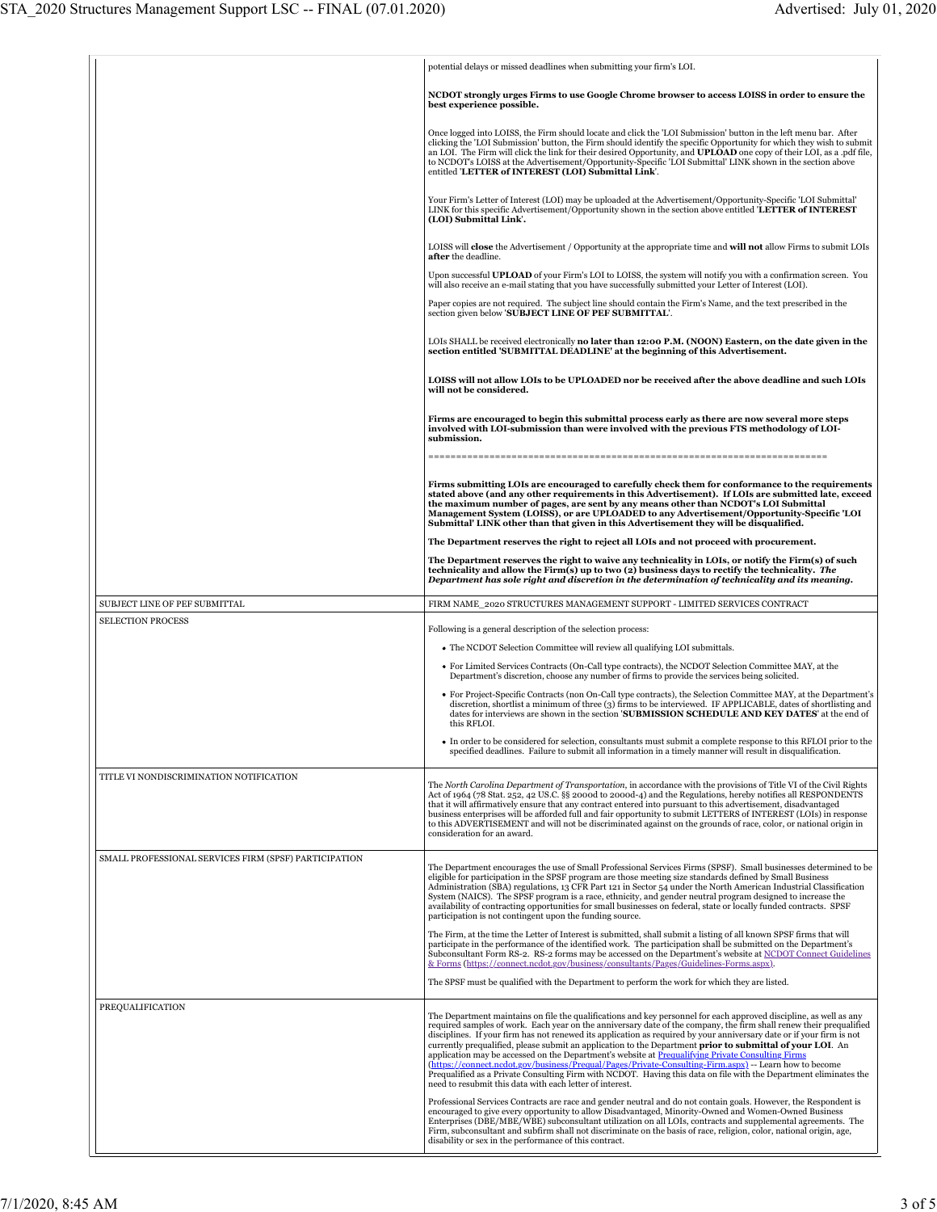|                                                       | potential delays or missed deadlines when submitting your firm's LOI.                                                                                                                                                                                                                                                                                                                                                                                                                                                                                                                                                                                                                                                                                                                                                                                                           |
|-------------------------------------------------------|---------------------------------------------------------------------------------------------------------------------------------------------------------------------------------------------------------------------------------------------------------------------------------------------------------------------------------------------------------------------------------------------------------------------------------------------------------------------------------------------------------------------------------------------------------------------------------------------------------------------------------------------------------------------------------------------------------------------------------------------------------------------------------------------------------------------------------------------------------------------------------|
|                                                       | NCDOT strongly urges Firms to use Google Chrome browser to access LOISS in order to ensure the<br>best experience possible.                                                                                                                                                                                                                                                                                                                                                                                                                                                                                                                                                                                                                                                                                                                                                     |
|                                                       | Once logged into LOISS, the Firm should locate and click the 'LOI Submission' button in the left menu bar. After<br>clicking the 'LOI Submission' button, the Firm should identify the specific Opportunity for which they wish to submit<br>an LOI. The Firm will click the link for their desired Opportunity, and UPLOAD one copy of their LOI, as a .pdf file,<br>to NCDOT's LOISS at the Advertisement/Opportunity-Specific 'LOI Submittal' LINK shown in the section above<br>entitled 'LETTER of INTEREST (LOI) Submittal Link'.                                                                                                                                                                                                                                                                                                                                         |
|                                                       | Your Firm's Letter of Interest (LOI) may be uploaded at the Advertisement/Opportunity-Specific 'LOI Submittal'<br>LINK for this specific Advertisement/Opportunity shown in the section above entitled 'LETTER of INTEREST<br>(LOI) Submittal Link'.                                                                                                                                                                                                                                                                                                                                                                                                                                                                                                                                                                                                                            |
|                                                       | LOISS will <b>close</b> the Advertisement / Opportunity at the appropriate time and <b>will not</b> allow Firms to submit LOIs<br>after the deadline.                                                                                                                                                                                                                                                                                                                                                                                                                                                                                                                                                                                                                                                                                                                           |
|                                                       | Upon successful UPLOAD of your Firm's LOI to LOISS, the system will notify you with a confirmation screen. You<br>will also receive an e-mail stating that you have successfully submitted your Letter of Interest (LOI).                                                                                                                                                                                                                                                                                                                                                                                                                                                                                                                                                                                                                                                       |
|                                                       | Paper copies are not required. The subject line should contain the Firm's Name, and the text prescribed in the<br>section given below 'SUBJECT LINE OF PEF SUBMITTAL'.                                                                                                                                                                                                                                                                                                                                                                                                                                                                                                                                                                                                                                                                                                          |
|                                                       | LOIs SHALL be received electronically no later than 12:00 P.M. (NOON) Eastern, on the date given in the<br>section entitled 'SUBMITTAL DEADLINE' at the beginning of this Advertisement.                                                                                                                                                                                                                                                                                                                                                                                                                                                                                                                                                                                                                                                                                        |
|                                                       | LOISS will not allow LOIs to be UPLOADED nor be received after the above deadline and such LOIs<br>will not be considered.                                                                                                                                                                                                                                                                                                                                                                                                                                                                                                                                                                                                                                                                                                                                                      |
|                                                       | Firms are encouraged to begin this submittal process early as there are now several more steps<br>involved with LOI-submission than were involved with the previous FTS methodology of LOI-<br>submission.                                                                                                                                                                                                                                                                                                                                                                                                                                                                                                                                                                                                                                                                      |
|                                                       | Firms submitting LOIs are encouraged to carefully check them for conformance to the requirements<br>stated above (and any other requirements in this Advertisement). If LOIs are submitted late, exceed<br>the maximum number of pages, are sent by any means other than NCDOT's LOI Submittal<br>Management System (LOISS), or are UPLOADED to any Advertisement/Opportunity-Specific 'LOI<br>Submittal' LINK other than that given in this Advertisement they will be disqualified.                                                                                                                                                                                                                                                                                                                                                                                           |
|                                                       | The Department reserves the right to reject all LOIs and not proceed with procurement.                                                                                                                                                                                                                                                                                                                                                                                                                                                                                                                                                                                                                                                                                                                                                                                          |
|                                                       | The Department reserves the right to waive any technicality in LOIs, or notify the Firm(s) of such<br>technicality and allow the Firm(s) up to two (2) business days to rectify the technicality. The<br>Department has sole right and discretion in the determination of technicality and its meaning.                                                                                                                                                                                                                                                                                                                                                                                                                                                                                                                                                                         |
| SUBJECT LINE OF PEF SUBMITTAL                         | FIRM NAME_2020 STRUCTURES MANAGEMENT SUPPORT - LIMITED SERVICES CONTRACT                                                                                                                                                                                                                                                                                                                                                                                                                                                                                                                                                                                                                                                                                                                                                                                                        |
| <b>SELECTION PROCESS</b>                              | Following is a general description of the selection process:                                                                                                                                                                                                                                                                                                                                                                                                                                                                                                                                                                                                                                                                                                                                                                                                                    |
|                                                       | • The NCDOT Selection Committee will review all qualifying LOI submittals.                                                                                                                                                                                                                                                                                                                                                                                                                                                                                                                                                                                                                                                                                                                                                                                                      |
|                                                       | • For Limited Services Contracts (On-Call type contracts), the NCDOT Selection Committee MAY, at the<br>Department's discretion, choose any number of firms to provide the services being solicited.                                                                                                                                                                                                                                                                                                                                                                                                                                                                                                                                                                                                                                                                            |
|                                                       | • For Project-Specific Contracts (non On-Call type contracts), the Selection Committee MAY, at the Department's<br>discretion, shortlist a minimum of three (3) firms to be interviewed. IF APPLICABLE, dates of shortlisting and<br>dates for interviews are shown in the section <b>SUBMISSION SCHEDULE AND KEY DATES</b> at the end of<br>this RFLOI.                                                                                                                                                                                                                                                                                                                                                                                                                                                                                                                        |
|                                                       | • In order to be considered for selection, consultants must submit a complete response to this RFLOI prior to the<br>specified deadlines. Failure to submit all information in a timely manner will result in disqualification.                                                                                                                                                                                                                                                                                                                                                                                                                                                                                                                                                                                                                                                 |
| TITLE VI NONDISCRIMINATION NOTIFICATION               | The North Carolina Department of Transportation, in accordance with the provisions of Title VI of the Civil Rights<br>Act of 1964 (78 Stat. 252, 42 US.C. §§ 2000d to 2000d-4) and the Regulations, hereby notifies all RESPONDENTS<br>that it will affirmatively ensure that any contract entered into pursuant to this advertisement, disadvantaged<br>business enterprises will be afforded full and fair opportunity to submit LETTERS of INTEREST (LOIs) in response<br>to this ADVERTISEMENT and will not be discriminated against on the grounds of race, color, or national origin in<br>consideration for an award.                                                                                                                                                                                                                                                    |
| SMALL PROFESSIONAL SERVICES FIRM (SPSF) PARTICIPATION | The Department encourages the use of Small Professional Services Firms (SPSF). Small businesses determined to be<br>eligible for participation in the SPSF program are those meeting size standards defined by Small Business<br>Administration (SBA) regulations, 13 CFR Part 121 in Sector 54 under the North American Industrial Classification<br>System (NAICS). The SPSF program is a race, ethnicity, and gender neutral program designed to increase the<br>availability of contracting opportunities for small businesses on federal, state or locally funded contracts. SPSF<br>participation is not contingent upon the funding source.                                                                                                                                                                                                                              |
|                                                       | The Firm, at the time the Letter of Interest is submitted, shall submit a listing of all known SPSF firms that will<br>participate in the performance of the identified work. The participation shall be submitted on the Department's<br>Subconsultant Form RS-2. RS-2 forms may be accessed on the Department's website at NCDOT Connect Guidelines<br>& Forms (https://connect.ncdot.gov/business/consultants/Pages/Guidelines-Forms.aspx).                                                                                                                                                                                                                                                                                                                                                                                                                                  |
|                                                       | The SPSF must be qualified with the Department to perform the work for which they are listed.                                                                                                                                                                                                                                                                                                                                                                                                                                                                                                                                                                                                                                                                                                                                                                                   |
| PREQUALIFICATION                                      | The Department maintains on file the qualifications and key personnel for each approved discipline, as well as any<br>required samples of work. Each year on the anniversary date of the company, the firm shall renew their prequalified<br>disciplines. If your firm has not renewed its application as required by your anniversary date or if your firm is not<br>currently prequalified, please submit an application to the Department prior to submittal of your LOI. An<br>application may be accessed on the Department's website at Prequalifying Private Consulting Firms<br>(https://connect.ncdot.gov/business/Prequal/Pages/Private-Consulting-Firm.aspx) -- Learn how to become<br>Prequalified as a Private Consulting Firm with NCDOT. Having this data on file with the Department eliminates the<br>need to resubmit this data with each letter of interest. |
|                                                       | Professional Services Contracts are race and gender neutral and do not contain goals. However, the Respondent is<br>encouraged to give every opportunity to allow Disadvantaged, Minority-Owned and Women-Owned Business<br>Enterprises (DBE/MBE/WBE) subconsultant utilization on all LOIs, contracts and supplemental agreements. The<br>Firm, subconsultant and subfirm shall not discriminate on the basis of race, religion, color, national origin, age,<br>disability or sex in the performance of this contract.                                                                                                                                                                                                                                                                                                                                                        |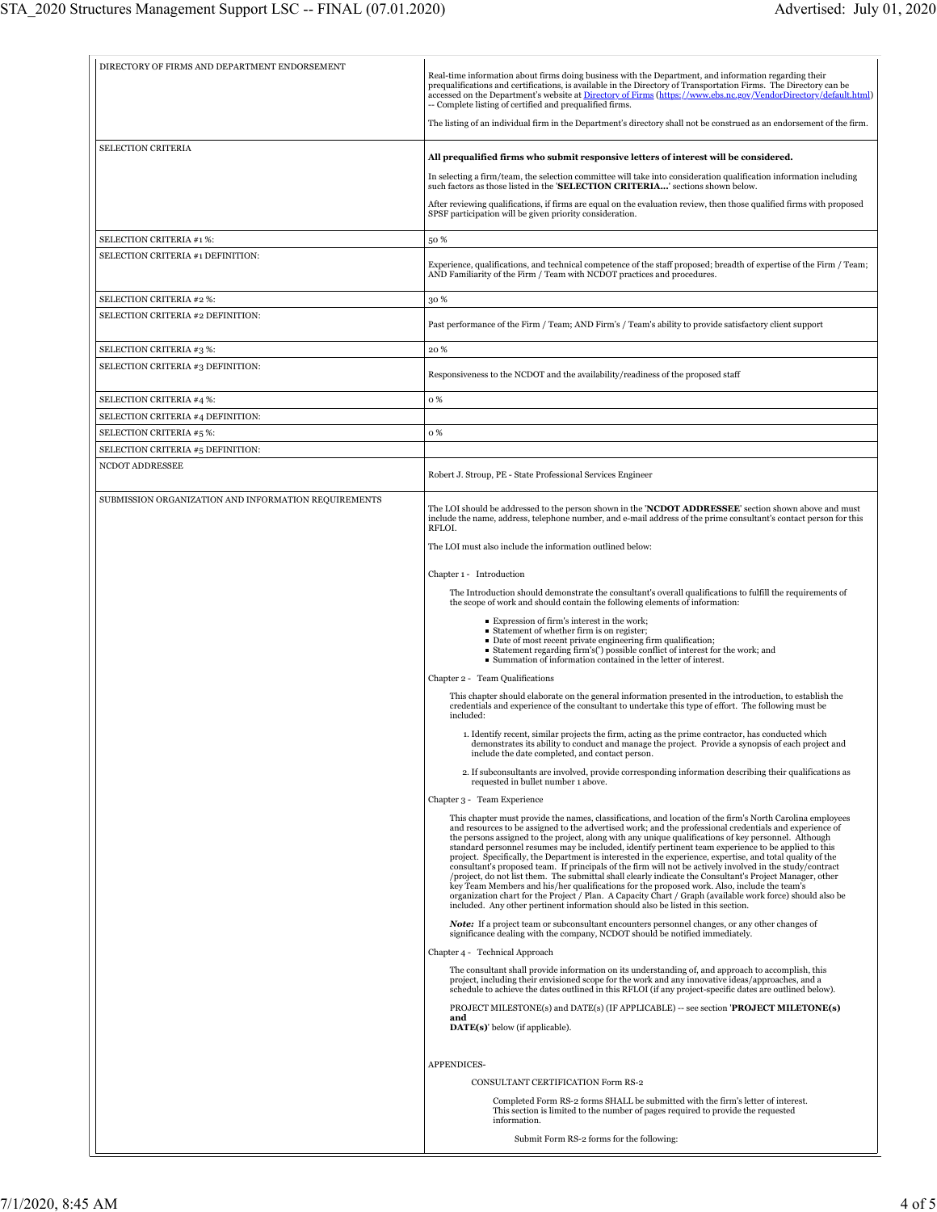| The listing of an individual firm in the Department's directory shall not be construed as an endorsement of the firm.<br>SELECTION CRITERIA<br>All prequalified firms who submit responsive letters of interest will be considered.<br>In selecting a firm/team, the selection committee will take into consideration qualification information including<br>such factors as those listed in the 'SELECTION CRITERIA' sections shown below.<br>After reviewing qualifications, if firms are equal on the evaluation review, then those qualified firms with proposed<br>SPSF participation will be given priority consideration.<br>SELECTION CRITERIA #1 %:<br>50 %<br>SELECTION CRITERIA #1 DEFINITION:<br>Experience, qualifications, and technical competence of the staff proposed; breadth of expertise of the Firm / Team;<br>AND Familiarity of the Firm / Team with NCDOT practices and procedures.<br>SELECTION CRITERIA #2 %:<br>30 %<br>SELECTION CRITERIA #2 DEFINITION:<br>Past performance of the Firm / Team; AND Firm's / Team's ability to provide satisfactory client support<br>SELECTION CRITERIA #3 %:<br>20%<br>SELECTION CRITERIA #3 DEFINITION:<br>Responsiveness to the NCDOT and the availability/readiness of the proposed staff<br>SELECTION CRITERIA #4 %:<br>o %<br>SELECTION CRITERIA #4 DEFINITION:<br>o %<br>SELECTION CRITERIA #5 %:<br>SELECTION CRITERIA #5 DEFINITION:<br>NCDOT ADDRESSEE<br>Robert J. Stroup, PE - State Professional Services Engineer<br>SUBMISSION ORGANIZATION AND INFORMATION REQUIREMENTS<br>The LOI should be addressed to the person shown in the 'NCDOT ADDRESSEE' section shown above and must<br>include the name, address, telephone number, and e-mail address of the prime consultant's contact person for this<br>RFLOI.<br>The LOI must also include the information outlined below:<br>Chapter 1 - Introduction<br>The Introduction should demonstrate the consultant's overall qualifications to fulfill the requirements of<br>the scope of work and should contain the following elements of information:<br>■ Expression of firm's interest in the work;<br>• Statement of whether firm is on register;<br>Date of most recent private engineering firm qualification;<br>Statement regarding firm's(') possible conflict of interest for the work; and<br>Summation of information contained in the letter of interest.<br>Chapter 2 - Team Qualifications<br>This chapter should elaborate on the general information presented in the introduction, to establish the<br>credentials and experience of the consultant to undertake this type of effort. The following must be<br>included:<br>1. Identify recent, similar projects the firm, acting as the prime contractor, has conducted which<br>demonstrates its ability to conduct and manage the project. Provide a synopsis of each project and<br>include the date completed, and contact person.<br>2. If subconsultants are involved, provide corresponding information describing their qualifications as<br>requested in bullet number 1 above.<br>Chapter 3 - Team Experience<br>This chapter must provide the names, classifications, and location of the firm's North Carolina employees<br>and resources to be assigned to the advertised work; and the professional credentials and experience of<br>the persons assigned to the project, along with any unique qualifications of key personnel. Although<br>standard personnel resumes may be included, identify pertinent team experience to be applied to this<br>project. Specifically, the Department is interested in the experience, expertise, and total quality of the<br>consultant's proposed team. If principals of the firm will not be actively involved in the study/contract<br>/project, do not list them. The submittal shall clearly indicate the Consultant's Project Manager, other<br>key Team Members and his/her qualifications for the proposed work. Also, include the team's<br>organization chart for the Project / Plan. A Capacity Chart / Graph (available work force) should also be<br>included. Any other pertinent information should also be listed in this section.<br><b>Note:</b> If a project team or subconsultant encounters personnel changes, or any other changes of<br>significance dealing with the company, NCDOT should be notified immediately.<br>Chapter 4 - Technical Approach<br>The consultant shall provide information on its understanding of, and approach to accomplish, this<br>project, including their envisioned scope for the work and any innovative ideas/approaches, and a<br>schedule to achieve the dates outlined in this RFLOI (if any project-specific dates are outlined below).<br>PROJECT MILESTONE(s) and DATE(s) (IF APPLICABLE) -- see section 'PROJECT MILETONE(s)<br>and<br><b>DATE(s)</b> below (if applicable).<br>APPENDICES-<br>CONSULTANT CERTIFICATION Form RS-2<br>Completed Form RS-2 forms SHALL be submitted with the firm's letter of interest.<br>This section is limited to the number of pages required to provide the requested<br>information.<br>Submit Form RS-2 forms for the following: | DIRECTORY OF FIRMS AND DEPARTMENT ENDORSEMENT | Real-time information about firms doing business with the Department, and information regarding their<br>prequalifications and certifications, is available in the Directory of Transportation Firms. The Directory can be<br>accessed on the Department's website at Directory of Firms (https://www.ebs.nc.gov/VendorDirectory/default.html)<br>-- Complete listing of certified and prequalified firms. |
|---------------------------------------------------------------------------------------------------------------------------------------------------------------------------------------------------------------------------------------------------------------------------------------------------------------------------------------------------------------------------------------------------------------------------------------------------------------------------------------------------------------------------------------------------------------------------------------------------------------------------------------------------------------------------------------------------------------------------------------------------------------------------------------------------------------------------------------------------------------------------------------------------------------------------------------------------------------------------------------------------------------------------------------------------------------------------------------------------------------------------------------------------------------------------------------------------------------------------------------------------------------------------------------------------------------------------------------------------------------------------------------------------------------------------------------------------------------------------------------------------------------------------------------------------------------------------------------------------------------------------------------------------------------------------------------------------------------------------------------------------------------------------------------------------------------------------------------------------------------------------------------------------------------------------------------------------------------------------------------------------------------------------------------------------------------------------------------------------------------------------------------------------------------------------------------------------------------------------------------------------------------------------------------------------------------------------------------------------------------------------------------------------------------------------------------------------------------------------------------------------------------------------------------------------------------------------------------------------------------------------------------------------------------------------------------------------------------------------------------------------------------------------------------------------------------------------------------------------------------------------------------------------------------------------------------------------------------------------------------------------------------------------------------------------------------------------------------------------------------------------------------------------------------------------------------------------------------------------------------------------------------------------------------------------------------------------------------------------------------------------------------------------------------------------------------------------------------------------------------------------------------------------------------------------------------------------------------------------------------------------------------------------------------------------------------------------------------------------------------------------------------------------------------------------------------------------------------------------------------------------------------------------------------------------------------------------------------------------------------------------------------------------------------------------------------------------------------------------------------------------------------------------------------------------------------------------------------------------------------------------------------------------------------------------------------------------------------------------------------------------------------------------------------------------------------------------------------------------------------------------------------------------------------------------------------------------------------------------------------------------------------------------------------------------------------------------------------------------------------------------------------------------------------------------------------------------------------------------------------------------------------------------------------------------------------------------------------------------------------------------------------------------------------------------------------------------------------------------------------------------------------------------------------------------------------------|-----------------------------------------------|------------------------------------------------------------------------------------------------------------------------------------------------------------------------------------------------------------------------------------------------------------------------------------------------------------------------------------------------------------------------------------------------------------|
|                                                                                                                                                                                                                                                                                                                                                                                                                                                                                                                                                                                                                                                                                                                                                                                                                                                                                                                                                                                                                                                                                                                                                                                                                                                                                                                                                                                                                                                                                                                                                                                                                                                                                                                                                                                                                                                                                                                                                                                                                                                                                                                                                                                                                                                                                                                                                                                                                                                                                                                                                                                                                                                                                                                                                                                                                                                                                                                                                                                                                                                                                                                                                                                                                                                                                                                                                                                                                                                                                                                                                                                                                                                                                                                                                                                                                                                                                                                                                                                                                                                                                                                                                                                                                                                                                                                                                                                                                                                                                                                                                                                                                                                                                                                                                                                                                                                                                                                                                                                                                                                                                                                                                                                             |                                               |                                                                                                                                                                                                                                                                                                                                                                                                            |
|                                                                                                                                                                                                                                                                                                                                                                                                                                                                                                                                                                                                                                                                                                                                                                                                                                                                                                                                                                                                                                                                                                                                                                                                                                                                                                                                                                                                                                                                                                                                                                                                                                                                                                                                                                                                                                                                                                                                                                                                                                                                                                                                                                                                                                                                                                                                                                                                                                                                                                                                                                                                                                                                                                                                                                                                                                                                                                                                                                                                                                                                                                                                                                                                                                                                                                                                                                                                                                                                                                                                                                                                                                                                                                                                                                                                                                                                                                                                                                                                                                                                                                                                                                                                                                                                                                                                                                                                                                                                                                                                                                                                                                                                                                                                                                                                                                                                                                                                                                                                                                                                                                                                                                                             |                                               |                                                                                                                                                                                                                                                                                                                                                                                                            |
|                                                                                                                                                                                                                                                                                                                                                                                                                                                                                                                                                                                                                                                                                                                                                                                                                                                                                                                                                                                                                                                                                                                                                                                                                                                                                                                                                                                                                                                                                                                                                                                                                                                                                                                                                                                                                                                                                                                                                                                                                                                                                                                                                                                                                                                                                                                                                                                                                                                                                                                                                                                                                                                                                                                                                                                                                                                                                                                                                                                                                                                                                                                                                                                                                                                                                                                                                                                                                                                                                                                                                                                                                                                                                                                                                                                                                                                                                                                                                                                                                                                                                                                                                                                                                                                                                                                                                                                                                                                                                                                                                                                                                                                                                                                                                                                                                                                                                                                                                                                                                                                                                                                                                                                             |                                               |                                                                                                                                                                                                                                                                                                                                                                                                            |
|                                                                                                                                                                                                                                                                                                                                                                                                                                                                                                                                                                                                                                                                                                                                                                                                                                                                                                                                                                                                                                                                                                                                                                                                                                                                                                                                                                                                                                                                                                                                                                                                                                                                                                                                                                                                                                                                                                                                                                                                                                                                                                                                                                                                                                                                                                                                                                                                                                                                                                                                                                                                                                                                                                                                                                                                                                                                                                                                                                                                                                                                                                                                                                                                                                                                                                                                                                                                                                                                                                                                                                                                                                                                                                                                                                                                                                                                                                                                                                                                                                                                                                                                                                                                                                                                                                                                                                                                                                                                                                                                                                                                                                                                                                                                                                                                                                                                                                                                                                                                                                                                                                                                                                                             |                                               |                                                                                                                                                                                                                                                                                                                                                                                                            |
|                                                                                                                                                                                                                                                                                                                                                                                                                                                                                                                                                                                                                                                                                                                                                                                                                                                                                                                                                                                                                                                                                                                                                                                                                                                                                                                                                                                                                                                                                                                                                                                                                                                                                                                                                                                                                                                                                                                                                                                                                                                                                                                                                                                                                                                                                                                                                                                                                                                                                                                                                                                                                                                                                                                                                                                                                                                                                                                                                                                                                                                                                                                                                                                                                                                                                                                                                                                                                                                                                                                                                                                                                                                                                                                                                                                                                                                                                                                                                                                                                                                                                                                                                                                                                                                                                                                                                                                                                                                                                                                                                                                                                                                                                                                                                                                                                                                                                                                                                                                                                                                                                                                                                                                             |                                               |                                                                                                                                                                                                                                                                                                                                                                                                            |
|                                                                                                                                                                                                                                                                                                                                                                                                                                                                                                                                                                                                                                                                                                                                                                                                                                                                                                                                                                                                                                                                                                                                                                                                                                                                                                                                                                                                                                                                                                                                                                                                                                                                                                                                                                                                                                                                                                                                                                                                                                                                                                                                                                                                                                                                                                                                                                                                                                                                                                                                                                                                                                                                                                                                                                                                                                                                                                                                                                                                                                                                                                                                                                                                                                                                                                                                                                                                                                                                                                                                                                                                                                                                                                                                                                                                                                                                                                                                                                                                                                                                                                                                                                                                                                                                                                                                                                                                                                                                                                                                                                                                                                                                                                                                                                                                                                                                                                                                                                                                                                                                                                                                                                                             |                                               |                                                                                                                                                                                                                                                                                                                                                                                                            |
|                                                                                                                                                                                                                                                                                                                                                                                                                                                                                                                                                                                                                                                                                                                                                                                                                                                                                                                                                                                                                                                                                                                                                                                                                                                                                                                                                                                                                                                                                                                                                                                                                                                                                                                                                                                                                                                                                                                                                                                                                                                                                                                                                                                                                                                                                                                                                                                                                                                                                                                                                                                                                                                                                                                                                                                                                                                                                                                                                                                                                                                                                                                                                                                                                                                                                                                                                                                                                                                                                                                                                                                                                                                                                                                                                                                                                                                                                                                                                                                                                                                                                                                                                                                                                                                                                                                                                                                                                                                                                                                                                                                                                                                                                                                                                                                                                                                                                                                                                                                                                                                                                                                                                                                             |                                               |                                                                                                                                                                                                                                                                                                                                                                                                            |
|                                                                                                                                                                                                                                                                                                                                                                                                                                                                                                                                                                                                                                                                                                                                                                                                                                                                                                                                                                                                                                                                                                                                                                                                                                                                                                                                                                                                                                                                                                                                                                                                                                                                                                                                                                                                                                                                                                                                                                                                                                                                                                                                                                                                                                                                                                                                                                                                                                                                                                                                                                                                                                                                                                                                                                                                                                                                                                                                                                                                                                                                                                                                                                                                                                                                                                                                                                                                                                                                                                                                                                                                                                                                                                                                                                                                                                                                                                                                                                                                                                                                                                                                                                                                                                                                                                                                                                                                                                                                                                                                                                                                                                                                                                                                                                                                                                                                                                                                                                                                                                                                                                                                                                                             |                                               |                                                                                                                                                                                                                                                                                                                                                                                                            |
|                                                                                                                                                                                                                                                                                                                                                                                                                                                                                                                                                                                                                                                                                                                                                                                                                                                                                                                                                                                                                                                                                                                                                                                                                                                                                                                                                                                                                                                                                                                                                                                                                                                                                                                                                                                                                                                                                                                                                                                                                                                                                                                                                                                                                                                                                                                                                                                                                                                                                                                                                                                                                                                                                                                                                                                                                                                                                                                                                                                                                                                                                                                                                                                                                                                                                                                                                                                                                                                                                                                                                                                                                                                                                                                                                                                                                                                                                                                                                                                                                                                                                                                                                                                                                                                                                                                                                                                                                                                                                                                                                                                                                                                                                                                                                                                                                                                                                                                                                                                                                                                                                                                                                                                             |                                               |                                                                                                                                                                                                                                                                                                                                                                                                            |
|                                                                                                                                                                                                                                                                                                                                                                                                                                                                                                                                                                                                                                                                                                                                                                                                                                                                                                                                                                                                                                                                                                                                                                                                                                                                                                                                                                                                                                                                                                                                                                                                                                                                                                                                                                                                                                                                                                                                                                                                                                                                                                                                                                                                                                                                                                                                                                                                                                                                                                                                                                                                                                                                                                                                                                                                                                                                                                                                                                                                                                                                                                                                                                                                                                                                                                                                                                                                                                                                                                                                                                                                                                                                                                                                                                                                                                                                                                                                                                                                                                                                                                                                                                                                                                                                                                                                                                                                                                                                                                                                                                                                                                                                                                                                                                                                                                                                                                                                                                                                                                                                                                                                                                                             |                                               |                                                                                                                                                                                                                                                                                                                                                                                                            |
|                                                                                                                                                                                                                                                                                                                                                                                                                                                                                                                                                                                                                                                                                                                                                                                                                                                                                                                                                                                                                                                                                                                                                                                                                                                                                                                                                                                                                                                                                                                                                                                                                                                                                                                                                                                                                                                                                                                                                                                                                                                                                                                                                                                                                                                                                                                                                                                                                                                                                                                                                                                                                                                                                                                                                                                                                                                                                                                                                                                                                                                                                                                                                                                                                                                                                                                                                                                                                                                                                                                                                                                                                                                                                                                                                                                                                                                                                                                                                                                                                                                                                                                                                                                                                                                                                                                                                                                                                                                                                                                                                                                                                                                                                                                                                                                                                                                                                                                                                                                                                                                                                                                                                                                             |                                               |                                                                                                                                                                                                                                                                                                                                                                                                            |
|                                                                                                                                                                                                                                                                                                                                                                                                                                                                                                                                                                                                                                                                                                                                                                                                                                                                                                                                                                                                                                                                                                                                                                                                                                                                                                                                                                                                                                                                                                                                                                                                                                                                                                                                                                                                                                                                                                                                                                                                                                                                                                                                                                                                                                                                                                                                                                                                                                                                                                                                                                                                                                                                                                                                                                                                                                                                                                                                                                                                                                                                                                                                                                                                                                                                                                                                                                                                                                                                                                                                                                                                                                                                                                                                                                                                                                                                                                                                                                                                                                                                                                                                                                                                                                                                                                                                                                                                                                                                                                                                                                                                                                                                                                                                                                                                                                                                                                                                                                                                                                                                                                                                                                                             |                                               |                                                                                                                                                                                                                                                                                                                                                                                                            |
|                                                                                                                                                                                                                                                                                                                                                                                                                                                                                                                                                                                                                                                                                                                                                                                                                                                                                                                                                                                                                                                                                                                                                                                                                                                                                                                                                                                                                                                                                                                                                                                                                                                                                                                                                                                                                                                                                                                                                                                                                                                                                                                                                                                                                                                                                                                                                                                                                                                                                                                                                                                                                                                                                                                                                                                                                                                                                                                                                                                                                                                                                                                                                                                                                                                                                                                                                                                                                                                                                                                                                                                                                                                                                                                                                                                                                                                                                                                                                                                                                                                                                                                                                                                                                                                                                                                                                                                                                                                                                                                                                                                                                                                                                                                                                                                                                                                                                                                                                                                                                                                                                                                                                                                             |                                               |                                                                                                                                                                                                                                                                                                                                                                                                            |
|                                                                                                                                                                                                                                                                                                                                                                                                                                                                                                                                                                                                                                                                                                                                                                                                                                                                                                                                                                                                                                                                                                                                                                                                                                                                                                                                                                                                                                                                                                                                                                                                                                                                                                                                                                                                                                                                                                                                                                                                                                                                                                                                                                                                                                                                                                                                                                                                                                                                                                                                                                                                                                                                                                                                                                                                                                                                                                                                                                                                                                                                                                                                                                                                                                                                                                                                                                                                                                                                                                                                                                                                                                                                                                                                                                                                                                                                                                                                                                                                                                                                                                                                                                                                                                                                                                                                                                                                                                                                                                                                                                                                                                                                                                                                                                                                                                                                                                                                                                                                                                                                                                                                                                                             |                                               |                                                                                                                                                                                                                                                                                                                                                                                                            |
|                                                                                                                                                                                                                                                                                                                                                                                                                                                                                                                                                                                                                                                                                                                                                                                                                                                                                                                                                                                                                                                                                                                                                                                                                                                                                                                                                                                                                                                                                                                                                                                                                                                                                                                                                                                                                                                                                                                                                                                                                                                                                                                                                                                                                                                                                                                                                                                                                                                                                                                                                                                                                                                                                                                                                                                                                                                                                                                                                                                                                                                                                                                                                                                                                                                                                                                                                                                                                                                                                                                                                                                                                                                                                                                                                                                                                                                                                                                                                                                                                                                                                                                                                                                                                                                                                                                                                                                                                                                                                                                                                                                                                                                                                                                                                                                                                                                                                                                                                                                                                                                                                                                                                                                             |                                               |                                                                                                                                                                                                                                                                                                                                                                                                            |
|                                                                                                                                                                                                                                                                                                                                                                                                                                                                                                                                                                                                                                                                                                                                                                                                                                                                                                                                                                                                                                                                                                                                                                                                                                                                                                                                                                                                                                                                                                                                                                                                                                                                                                                                                                                                                                                                                                                                                                                                                                                                                                                                                                                                                                                                                                                                                                                                                                                                                                                                                                                                                                                                                                                                                                                                                                                                                                                                                                                                                                                                                                                                                                                                                                                                                                                                                                                                                                                                                                                                                                                                                                                                                                                                                                                                                                                                                                                                                                                                                                                                                                                                                                                                                                                                                                                                                                                                                                                                                                                                                                                                                                                                                                                                                                                                                                                                                                                                                                                                                                                                                                                                                                                             |                                               |                                                                                                                                                                                                                                                                                                                                                                                                            |
|                                                                                                                                                                                                                                                                                                                                                                                                                                                                                                                                                                                                                                                                                                                                                                                                                                                                                                                                                                                                                                                                                                                                                                                                                                                                                                                                                                                                                                                                                                                                                                                                                                                                                                                                                                                                                                                                                                                                                                                                                                                                                                                                                                                                                                                                                                                                                                                                                                                                                                                                                                                                                                                                                                                                                                                                                                                                                                                                                                                                                                                                                                                                                                                                                                                                                                                                                                                                                                                                                                                                                                                                                                                                                                                                                                                                                                                                                                                                                                                                                                                                                                                                                                                                                                                                                                                                                                                                                                                                                                                                                                                                                                                                                                                                                                                                                                                                                                                                                                                                                                                                                                                                                                                             |                                               |                                                                                                                                                                                                                                                                                                                                                                                                            |
|                                                                                                                                                                                                                                                                                                                                                                                                                                                                                                                                                                                                                                                                                                                                                                                                                                                                                                                                                                                                                                                                                                                                                                                                                                                                                                                                                                                                                                                                                                                                                                                                                                                                                                                                                                                                                                                                                                                                                                                                                                                                                                                                                                                                                                                                                                                                                                                                                                                                                                                                                                                                                                                                                                                                                                                                                                                                                                                                                                                                                                                                                                                                                                                                                                                                                                                                                                                                                                                                                                                                                                                                                                                                                                                                                                                                                                                                                                                                                                                                                                                                                                                                                                                                                                                                                                                                                                                                                                                                                                                                                                                                                                                                                                                                                                                                                                                                                                                                                                                                                                                                                                                                                                                             |                                               |                                                                                                                                                                                                                                                                                                                                                                                                            |
|                                                                                                                                                                                                                                                                                                                                                                                                                                                                                                                                                                                                                                                                                                                                                                                                                                                                                                                                                                                                                                                                                                                                                                                                                                                                                                                                                                                                                                                                                                                                                                                                                                                                                                                                                                                                                                                                                                                                                                                                                                                                                                                                                                                                                                                                                                                                                                                                                                                                                                                                                                                                                                                                                                                                                                                                                                                                                                                                                                                                                                                                                                                                                                                                                                                                                                                                                                                                                                                                                                                                                                                                                                                                                                                                                                                                                                                                                                                                                                                                                                                                                                                                                                                                                                                                                                                                                                                                                                                                                                                                                                                                                                                                                                                                                                                                                                                                                                                                                                                                                                                                                                                                                                                             |                                               |                                                                                                                                                                                                                                                                                                                                                                                                            |
|                                                                                                                                                                                                                                                                                                                                                                                                                                                                                                                                                                                                                                                                                                                                                                                                                                                                                                                                                                                                                                                                                                                                                                                                                                                                                                                                                                                                                                                                                                                                                                                                                                                                                                                                                                                                                                                                                                                                                                                                                                                                                                                                                                                                                                                                                                                                                                                                                                                                                                                                                                                                                                                                                                                                                                                                                                                                                                                                                                                                                                                                                                                                                                                                                                                                                                                                                                                                                                                                                                                                                                                                                                                                                                                                                                                                                                                                                                                                                                                                                                                                                                                                                                                                                                                                                                                                                                                                                                                                                                                                                                                                                                                                                                                                                                                                                                                                                                                                                                                                                                                                                                                                                                                             |                                               |                                                                                                                                                                                                                                                                                                                                                                                                            |
|                                                                                                                                                                                                                                                                                                                                                                                                                                                                                                                                                                                                                                                                                                                                                                                                                                                                                                                                                                                                                                                                                                                                                                                                                                                                                                                                                                                                                                                                                                                                                                                                                                                                                                                                                                                                                                                                                                                                                                                                                                                                                                                                                                                                                                                                                                                                                                                                                                                                                                                                                                                                                                                                                                                                                                                                                                                                                                                                                                                                                                                                                                                                                                                                                                                                                                                                                                                                                                                                                                                                                                                                                                                                                                                                                                                                                                                                                                                                                                                                                                                                                                                                                                                                                                                                                                                                                                                                                                                                                                                                                                                                                                                                                                                                                                                                                                                                                                                                                                                                                                                                                                                                                                                             |                                               |                                                                                                                                                                                                                                                                                                                                                                                                            |
|                                                                                                                                                                                                                                                                                                                                                                                                                                                                                                                                                                                                                                                                                                                                                                                                                                                                                                                                                                                                                                                                                                                                                                                                                                                                                                                                                                                                                                                                                                                                                                                                                                                                                                                                                                                                                                                                                                                                                                                                                                                                                                                                                                                                                                                                                                                                                                                                                                                                                                                                                                                                                                                                                                                                                                                                                                                                                                                                                                                                                                                                                                                                                                                                                                                                                                                                                                                                                                                                                                                                                                                                                                                                                                                                                                                                                                                                                                                                                                                                                                                                                                                                                                                                                                                                                                                                                                                                                                                                                                                                                                                                                                                                                                                                                                                                                                                                                                                                                                                                                                                                                                                                                                                             |                                               |                                                                                                                                                                                                                                                                                                                                                                                                            |
|                                                                                                                                                                                                                                                                                                                                                                                                                                                                                                                                                                                                                                                                                                                                                                                                                                                                                                                                                                                                                                                                                                                                                                                                                                                                                                                                                                                                                                                                                                                                                                                                                                                                                                                                                                                                                                                                                                                                                                                                                                                                                                                                                                                                                                                                                                                                                                                                                                                                                                                                                                                                                                                                                                                                                                                                                                                                                                                                                                                                                                                                                                                                                                                                                                                                                                                                                                                                                                                                                                                                                                                                                                                                                                                                                                                                                                                                                                                                                                                                                                                                                                                                                                                                                                                                                                                                                                                                                                                                                                                                                                                                                                                                                                                                                                                                                                                                                                                                                                                                                                                                                                                                                                                             |                                               |                                                                                                                                                                                                                                                                                                                                                                                                            |
|                                                                                                                                                                                                                                                                                                                                                                                                                                                                                                                                                                                                                                                                                                                                                                                                                                                                                                                                                                                                                                                                                                                                                                                                                                                                                                                                                                                                                                                                                                                                                                                                                                                                                                                                                                                                                                                                                                                                                                                                                                                                                                                                                                                                                                                                                                                                                                                                                                                                                                                                                                                                                                                                                                                                                                                                                                                                                                                                                                                                                                                                                                                                                                                                                                                                                                                                                                                                                                                                                                                                                                                                                                                                                                                                                                                                                                                                                                                                                                                                                                                                                                                                                                                                                                                                                                                                                                                                                                                                                                                                                                                                                                                                                                                                                                                                                                                                                                                                                                                                                                                                                                                                                                                             |                                               |                                                                                                                                                                                                                                                                                                                                                                                                            |
|                                                                                                                                                                                                                                                                                                                                                                                                                                                                                                                                                                                                                                                                                                                                                                                                                                                                                                                                                                                                                                                                                                                                                                                                                                                                                                                                                                                                                                                                                                                                                                                                                                                                                                                                                                                                                                                                                                                                                                                                                                                                                                                                                                                                                                                                                                                                                                                                                                                                                                                                                                                                                                                                                                                                                                                                                                                                                                                                                                                                                                                                                                                                                                                                                                                                                                                                                                                                                                                                                                                                                                                                                                                                                                                                                                                                                                                                                                                                                                                                                                                                                                                                                                                                                                                                                                                                                                                                                                                                                                                                                                                                                                                                                                                                                                                                                                                                                                                                                                                                                                                                                                                                                                                             |                                               |                                                                                                                                                                                                                                                                                                                                                                                                            |
|                                                                                                                                                                                                                                                                                                                                                                                                                                                                                                                                                                                                                                                                                                                                                                                                                                                                                                                                                                                                                                                                                                                                                                                                                                                                                                                                                                                                                                                                                                                                                                                                                                                                                                                                                                                                                                                                                                                                                                                                                                                                                                                                                                                                                                                                                                                                                                                                                                                                                                                                                                                                                                                                                                                                                                                                                                                                                                                                                                                                                                                                                                                                                                                                                                                                                                                                                                                                                                                                                                                                                                                                                                                                                                                                                                                                                                                                                                                                                                                                                                                                                                                                                                                                                                                                                                                                                                                                                                                                                                                                                                                                                                                                                                                                                                                                                                                                                                                                                                                                                                                                                                                                                                                             |                                               |                                                                                                                                                                                                                                                                                                                                                                                                            |
|                                                                                                                                                                                                                                                                                                                                                                                                                                                                                                                                                                                                                                                                                                                                                                                                                                                                                                                                                                                                                                                                                                                                                                                                                                                                                                                                                                                                                                                                                                                                                                                                                                                                                                                                                                                                                                                                                                                                                                                                                                                                                                                                                                                                                                                                                                                                                                                                                                                                                                                                                                                                                                                                                                                                                                                                                                                                                                                                                                                                                                                                                                                                                                                                                                                                                                                                                                                                                                                                                                                                                                                                                                                                                                                                                                                                                                                                                                                                                                                                                                                                                                                                                                                                                                                                                                                                                                                                                                                                                                                                                                                                                                                                                                                                                                                                                                                                                                                                                                                                                                                                                                                                                                                             |                                               |                                                                                                                                                                                                                                                                                                                                                                                                            |
|                                                                                                                                                                                                                                                                                                                                                                                                                                                                                                                                                                                                                                                                                                                                                                                                                                                                                                                                                                                                                                                                                                                                                                                                                                                                                                                                                                                                                                                                                                                                                                                                                                                                                                                                                                                                                                                                                                                                                                                                                                                                                                                                                                                                                                                                                                                                                                                                                                                                                                                                                                                                                                                                                                                                                                                                                                                                                                                                                                                                                                                                                                                                                                                                                                                                                                                                                                                                                                                                                                                                                                                                                                                                                                                                                                                                                                                                                                                                                                                                                                                                                                                                                                                                                                                                                                                                                                                                                                                                                                                                                                                                                                                                                                                                                                                                                                                                                                                                                                                                                                                                                                                                                                                             |                                               |                                                                                                                                                                                                                                                                                                                                                                                                            |
|                                                                                                                                                                                                                                                                                                                                                                                                                                                                                                                                                                                                                                                                                                                                                                                                                                                                                                                                                                                                                                                                                                                                                                                                                                                                                                                                                                                                                                                                                                                                                                                                                                                                                                                                                                                                                                                                                                                                                                                                                                                                                                                                                                                                                                                                                                                                                                                                                                                                                                                                                                                                                                                                                                                                                                                                                                                                                                                                                                                                                                                                                                                                                                                                                                                                                                                                                                                                                                                                                                                                                                                                                                                                                                                                                                                                                                                                                                                                                                                                                                                                                                                                                                                                                                                                                                                                                                                                                                                                                                                                                                                                                                                                                                                                                                                                                                                                                                                                                                                                                                                                                                                                                                                             |                                               |                                                                                                                                                                                                                                                                                                                                                                                                            |
|                                                                                                                                                                                                                                                                                                                                                                                                                                                                                                                                                                                                                                                                                                                                                                                                                                                                                                                                                                                                                                                                                                                                                                                                                                                                                                                                                                                                                                                                                                                                                                                                                                                                                                                                                                                                                                                                                                                                                                                                                                                                                                                                                                                                                                                                                                                                                                                                                                                                                                                                                                                                                                                                                                                                                                                                                                                                                                                                                                                                                                                                                                                                                                                                                                                                                                                                                                                                                                                                                                                                                                                                                                                                                                                                                                                                                                                                                                                                                                                                                                                                                                                                                                                                                                                                                                                                                                                                                                                                                                                                                                                                                                                                                                                                                                                                                                                                                                                                                                                                                                                                                                                                                                                             |                                               |                                                                                                                                                                                                                                                                                                                                                                                                            |
|                                                                                                                                                                                                                                                                                                                                                                                                                                                                                                                                                                                                                                                                                                                                                                                                                                                                                                                                                                                                                                                                                                                                                                                                                                                                                                                                                                                                                                                                                                                                                                                                                                                                                                                                                                                                                                                                                                                                                                                                                                                                                                                                                                                                                                                                                                                                                                                                                                                                                                                                                                                                                                                                                                                                                                                                                                                                                                                                                                                                                                                                                                                                                                                                                                                                                                                                                                                                                                                                                                                                                                                                                                                                                                                                                                                                                                                                                                                                                                                                                                                                                                                                                                                                                                                                                                                                                                                                                                                                                                                                                                                                                                                                                                                                                                                                                                                                                                                                                                                                                                                                                                                                                                                             |                                               |                                                                                                                                                                                                                                                                                                                                                                                                            |